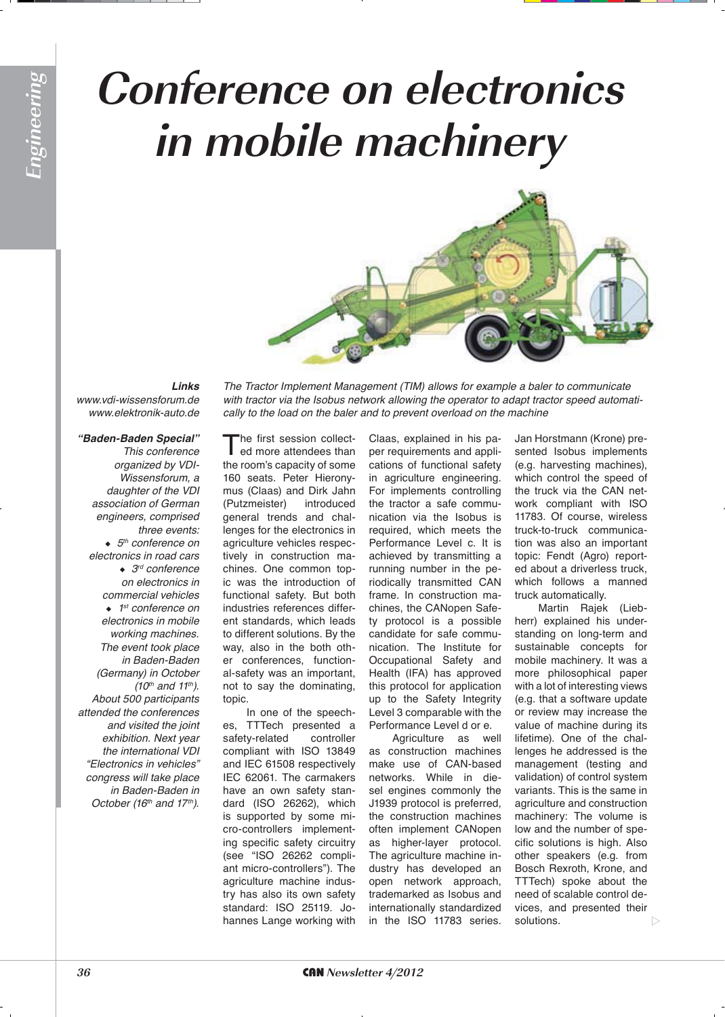## **Conference on electronics in mobile machinery**



## *Links*

*www.vdi-wissensforum.de www.elektronik-auto.de*

## *"Baden-Baden Special"*

*This conference*  organized by VDI-*Wissensforum, a*  daughter of the VDI *association of German engineers, comprised three events:* <sup>X</sup> *5th conference on electronics in road cars* ◆ 3<sup>rd</sup> conference *on electronics in commercial vehicles* ◆ 1<sup>st</sup> conference on *electronics in mobile working machines. The event took place in Baden-Baden*  (Germany) in October *(10th and 11th). About 500 participants attended the conferences and visited the joint exhibition. Next year*  the international VDI "Electronics in vehicles" *congress will take place in Baden-Baden in*  October (16<sup>th</sup> and 17<sup>th</sup>).

The Tractor Implement Management (TIM) allows for example a baler to communicate with tractor via the Isobus network allowing the operator to adapt tractor speed automati*cally to the load on the baler and to prevent overload on the machine*

The first session collect-<br>ed more attendees than the room's capacity of some 160 seats. Peter Hieronymus (Claas) and Dirk Jahn (Putzmeister) introduced general trends and challenges for the electronics in agriculture vehicles respectively in construction machines. One common topic was the introduction of functional safety. But both industries references different standards, which leads to different solutions. By the way, also in the both other conferences, functional-safety was an important, not to say the dominating, topic.

In one of the speeches, TTTech presented a safety-related controller compliant with ISO 13849 and IEC 61508 respectively IEC 62061. The carmakers have an own safety standard (ISO 26262), which is supported by some micro-controllers implementing specific safety circuitry (see "ISO 26262 compliant micro-controllers"). The agriculture machine industry has also its own safety standard: ISO 25119. Johannes Lange working with

Claas, explained in his paper requirements and applications of functional safety in agriculture engineering. For implements controlling the tractor a safe communication via the Isobus is required, which meets the Performance Level c. It is achieved by transmitting a running number in the periodically transmitted CAN frame. In construction machines, the CANopen Safety protocol is a possible candidate for safe communication. The Institute for Occupational Safety and Health (IFA) has approved this protocol for application up to the Safety Integrity Level 3 comparable with the Performance Level d or e.

Agriculture as well as construction machines make use of CAN-based networks. While in diesel engines commonly the J1939 protocol is preferred, the construction machines often implement CANopen as higher-layer protocol. The agriculture machine industry has developed an open network approach, trademarked as Isobus and internationally standardized in the ISO 11783 series.

Jan Horstmann (Krone) presented Isobus implements (e.g. harvesting machines), which control the speed of the truck via the CAN network compliant with ISO 11783. Of course, wireless truck-to-truck communication was also an important topic: Fendt (Agro) reported about a driverless truck, which follows a manned truck automatically.

Martin Rajek (Liebherr) explained his understanding on long-term and sustainable concepts for mobile machinery. It was a more philosophical paper with a lot of interesting views (e.g. that a software update or review may increase the value of machine during its lifetime). One of the challenges he addressed is the management (testing and validation) of control system variants. This is the same in agriculture and construction machinery: The volume is low and the number of specific solutions is high. Also other speakers (e.g. from Bosch Rexroth, Krone, and TTTech) spoke about the need of scalable control devices, and presented their solutions.  $\triangleright$